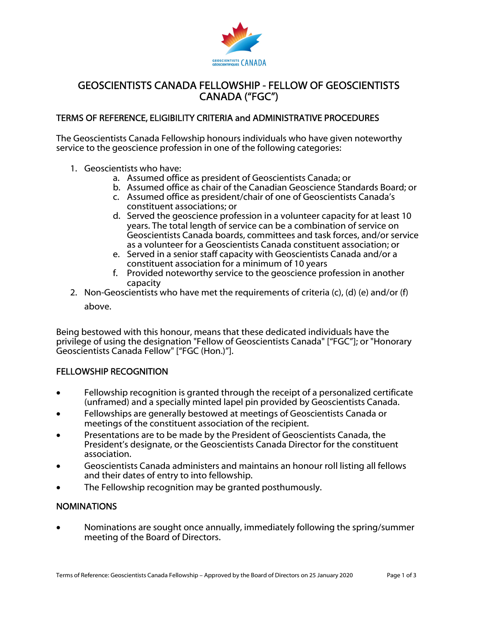

# GEOSCIENTISTS CANADA FELLOWSHIP - FELLOW OF GEOSCIENTISTS CANADA ("FGC")

## TERMS OF REFERENCE, ELIGIBILITY CRITERIA and ADMINISTRATIVE PROCEDURES

The Geoscientists Canada Fellowship honours individuals who have given noteworthy service to the geoscience profession in one of the following categories:

- 1. Geoscientists who have:
	- a. Assumed office as president of Geoscientists Canada; or
	- b. Assumed office as chair of the Canadian Geoscience Standards Board; or
	- c. Assumed office as president/chair of one of Geoscientists Canada's constituent associations; or
	- d. Served the geoscience profession in a volunteer capacity for at least 10 years. The total length of service can be a combination of service on Geoscientists Canada boards, committees and task forces, and/or service as a volunteer for a Geoscientists Canada constituent association; or
	- e. Served in a senior staff capacity with Geoscientists Canada and/or a constituent association for a minimum of 10 years
	- f. Provided noteworthy service to the geoscience profession in another capacity
- 2. Non-Geoscientists who have met the requirements of criteria  $(c)$ ,  $(d)$   $(e)$  and/or  $(f)$ above.

Being bestowed with this honour, means that these dedicated individuals have the privilege of using the designation "Fellow of Geoscientists Canada" ["FGC"]; or "Honorary Geoscientists Canada Fellow" ["FGC (Hon.)"].

## FELLOWSHIP RECOGNITION

- Fellowship recognition is granted through the receipt of a personalized certificate (unframed) and a specially minted lapel pin provided by Geoscientists Canada.
- Fellowships are generally bestowed at meetings of Geoscientists Canada or meetings of the constituent association of the recipient.
- Presentations are to be made by the President of Geoscientists Canada, the President's designate, or the Geoscientists Canada Director for the constituent association.
- Geoscientists Canada administers and maintains an honour roll listing all fellows and their dates of entry to into fellowship.
- The Fellowship recognition may be granted posthumously.

## NOMINATIONS

 Nominations are sought once annually, immediately following the spring/summer meeting of the Board of Directors.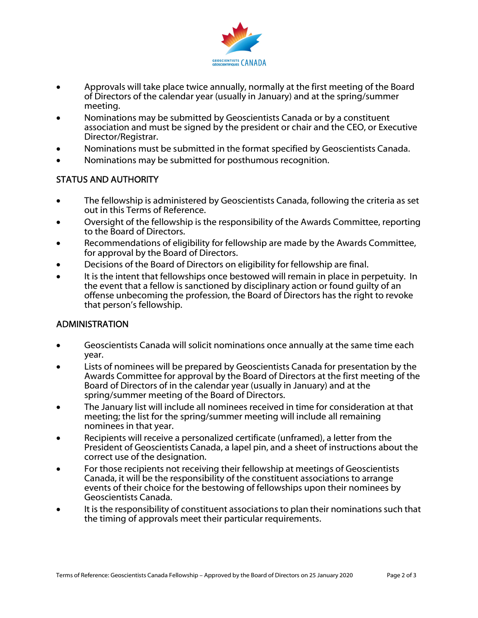

- Approvals will take place twice annually, normally at the first meeting of the Board of Directors of the calendar year (usually in January) and at the spring/summer meeting.
- Nominations may be submitted by Geoscientists Canada or by a constituent association and must be signed by the president or chair and the CEO, or Executive Director/Registrar.
- Nominations must be submitted in the format specified by Geoscientists Canada.
- Nominations may be submitted for posthumous recognition.

## STATUS AND AUTHORITY

- The fellowship is administered by Geoscientists Canada, following the criteria as set out in this Terms of Reference.
- Oversight of the fellowship is the responsibility of the Awards Committee, reporting to the Board of Directors.
- Recommendations of eligibility for fellowship are made by the Awards Committee, for approval by the Board of Directors.
- Decisions of the Board of Directors on eligibility for fellowship are final.
- It is the intent that fellowships once bestowed will remain in place in perpetuity. In the event that a fellow is sanctioned by disciplinary action or found guilty of an offense unbecoming the profession, the Board of Directors has the right to revoke that person's fellowship.

## ADMINISTRATION

- Geoscientists Canada will solicit nominations once annually at the same time each year.
- Lists of nominees will be prepared by Geoscientists Canada for presentation by the Awards Committee for approval by the Board of Directors at the first meeting of the Board of Directors of in the calendar year (usually in January) and at the spring/summer meeting of the Board of Directors.
- The January list will include all nominees received in time for consideration at that meeting; the list for the spring/summer meeting will include all remaining nominees in that year.
- Recipients will receive a personalized certificate (unframed), a letter from the President of Geoscientists Canada, a lapel pin, and a sheet of instructions about the correct use of the designation.
- For those recipients not receiving their fellowship at meetings of Geoscientists Canada, it will be the responsibility of the constituent associations to arrange events of their choice for the bestowing of fellowships upon their nominees by Geoscientists Canada.
- It is the responsibility of constituent associations to plan their nominations such that the timing of approvals meet their particular requirements.